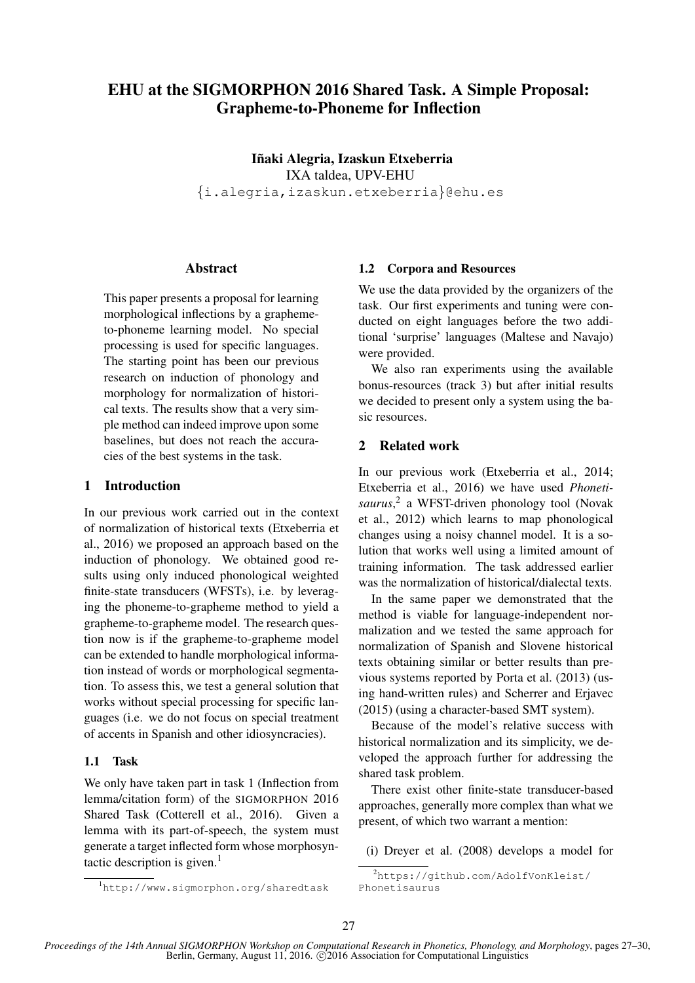# EHU at the SIGMORPHON 2016 Shared Task. A Simple Proposal: Grapheme-to-Phoneme for Inflection

Iñaki Alegria, Izaskun Etxeberria IXA taldea, UPV-EHU {i.alegria,izaskun.etxeberria}@ehu.es

## **Abstract**

This paper presents a proposal for learning morphological inflections by a graphemeto-phoneme learning model. No special processing is used for specific languages. The starting point has been our previous research on induction of phonology and morphology for normalization of historical texts. The results show that a very simple method can indeed improve upon some baselines, but does not reach the accuracies of the best systems in the task.

## 1 Introduction

In our previous work carried out in the context of normalization of historical texts (Etxeberria et al., 2016) we proposed an approach based on the induction of phonology. We obtained good results using only induced phonological weighted finite-state transducers (WFSTs), i.e. by leveraging the phoneme-to-grapheme method to yield a grapheme-to-grapheme model. The research question now is if the grapheme-to-grapheme model can be extended to handle morphological information instead of words or morphological segmentation. To assess this, we test a general solution that works without special processing for specific languages (i.e. we do not focus on special treatment of accents in Spanish and other idiosyncracies).

#### 1.1 Task

We only have taken part in task 1 (Inflection from lemma/citation form) of the SIGMORPHON 2016 Shared Task (Cotterell et al., 2016). Given a lemma with its part-of-speech, the system must generate a target inflected form whose morphosyntactic description is given.<sup>1</sup>

#### 1.2 Corpora and Resources

We use the data provided by the organizers of the task. Our first experiments and tuning were conducted on eight languages before the two additional 'surprise' languages (Maltese and Navajo) were provided.

We also ran experiments using the available bonus-resources (track 3) but after initial results we decided to present only a system using the basic resources.

#### 2 Related work

In our previous work (Etxeberria et al., 2014; Etxeberria et al., 2016) we have used *Phonetisaurus*, 2 a WFST-driven phonology tool (Novak et al., 2012) which learns to map phonological changes using a noisy channel model. It is a solution that works well using a limited amount of training information. The task addressed earlier was the normalization of historical/dialectal texts.

In the same paper we demonstrated that the method is viable for language-independent normalization and we tested the same approach for normalization of Spanish and Slovene historical texts obtaining similar or better results than previous systems reported by Porta et al. (2013) (using hand-written rules) and Scherrer and Erjavec (2015) (using a character-based SMT system).

Because of the model's relative success with historical normalization and its simplicity, we developed the approach further for addressing the shared task problem.

There exist other finite-state transducer-based approaches, generally more complex than what we present, of which two warrant a mention:

(i) Dreyer et al. (2008) develops a model for

<sup>2</sup>https://github.com/AdolfVonKleist/ Phonetisaurus

<sup>1</sup>http://www.sigmorphon.org/sharedtask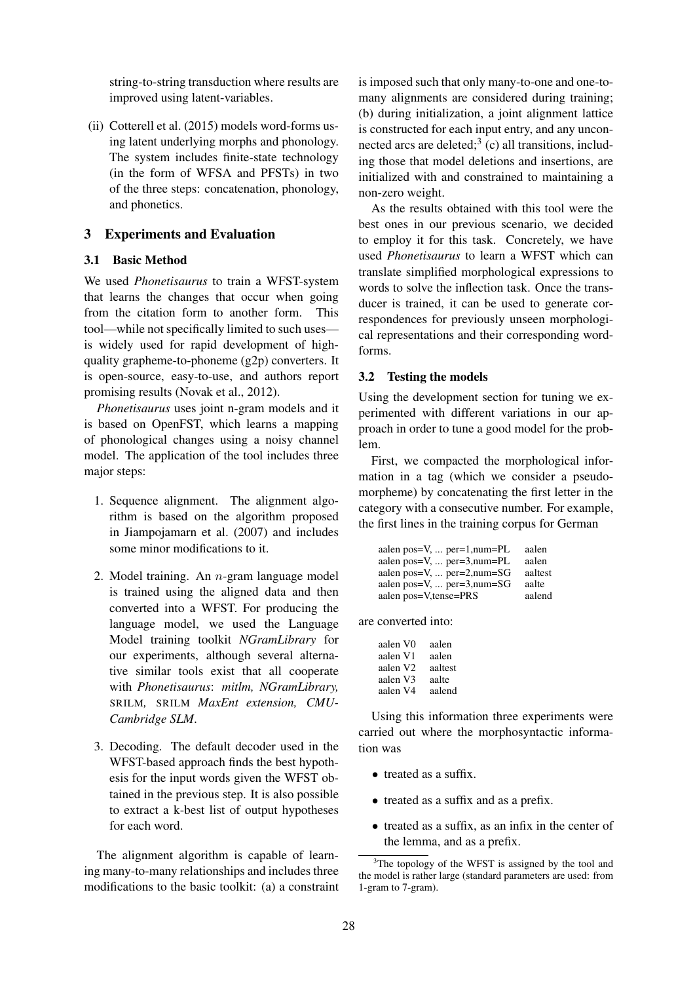string-to-string transduction where results are improved using latent-variables.

(ii) Cotterell et al. (2015) models word-forms using latent underlying morphs and phonology. The system includes finite-state technology (in the form of WFSA and PFSTs) in two of the three steps: concatenation, phonology, and phonetics.

## 3 Experiments and Evaluation

## 3.1 Basic Method

We used *Phonetisaurus* to train a WFST-system that learns the changes that occur when going from the citation form to another form. This tool—while not specifically limited to such uses is widely used for rapid development of highquality grapheme-to-phoneme (g2p) converters. It is open-source, easy-to-use, and authors report promising results (Novak et al., 2012).

*Phonetisaurus* uses joint n-gram models and it is based on OpenFST, which learns a mapping of phonological changes using a noisy channel model. The application of the tool includes three major steps:

- 1. Sequence alignment. The alignment algorithm is based on the algorithm proposed in Jiampojamarn et al. (2007) and includes some minor modifications to it.
- 2. Model training. An  $n$ -gram language model is trained using the aligned data and then converted into a WFST. For producing the language model, we used the Language Model training toolkit *NGramLibrary* for our experiments, although several alternative similar tools exist that all cooperate with *Phonetisaurus*: *mitlm, NGramLibrary,* SRILM*,* SRILM *MaxEnt extension, CMU-Cambridge SLM*.
- 3. Decoding. The default decoder used in the WFST-based approach finds the best hypothesis for the input words given the WFST obtained in the previous step. It is also possible to extract a k-best list of output hypotheses for each word.

The alignment algorithm is capable of learning many-to-many relationships and includes three modifications to the basic toolkit: (a) a constraint

is imposed such that only many-to-one and one-tomany alignments are considered during training; (b) during initialization, a joint alignment lattice is constructed for each input entry, and any unconnected arcs are deleted; $3$  (c) all transitions, including those that model deletions and insertions, are initialized with and constrained to maintaining a non-zero weight.

As the results obtained with this tool were the best ones in our previous scenario, we decided to employ it for this task. Concretely, we have used *Phonetisaurus* to learn a WFST which can translate simplified morphological expressions to words to solve the inflection task. Once the transducer is trained, it can be used to generate correspondences for previously unseen morphological representations and their corresponding wordforms.

#### 3.2 Testing the models

Using the development section for tuning we experimented with different variations in our approach in order to tune a good model for the problem.

First, we compacted the morphological information in a tag (which we consider a pseudomorpheme) by concatenating the first letter in the category with a consecutive number. For example, the first lines in the training corpus for German

| aalen pos= $V, \ldots$ per= $1,\text{num}=PL$     | aalen   |
|---------------------------------------------------|---------|
| aalen pos= $V, \ldots$ per=3, num= $PL$           | aalen   |
| aalen pos= $V, \ldots$ per= $2,\text{num}$ = $SG$ | aaltest |
| aalen pos= $V, \ldots$ per=3, num= $SG$           | aalte   |
| aalen pos=V,tense=PRS                             | aalend  |

are converted into:

| aalen V0 | aalen   |
|----------|---------|
| aalen V1 | aalen   |
| aalen V2 | aaltest |
| aalen V3 | aalte   |
| aalen V4 | aalend  |

Using this information three experiments were carried out where the morphosyntactic information was

- treated as a suffix.
- treated as a suffix and as a prefix.
- treated as a suffix, as an infix in the center of the lemma, and as a prefix.

 $3$ The topology of the WFST is assigned by the tool and the model is rather large (standard parameters are used: from 1-gram to 7-gram).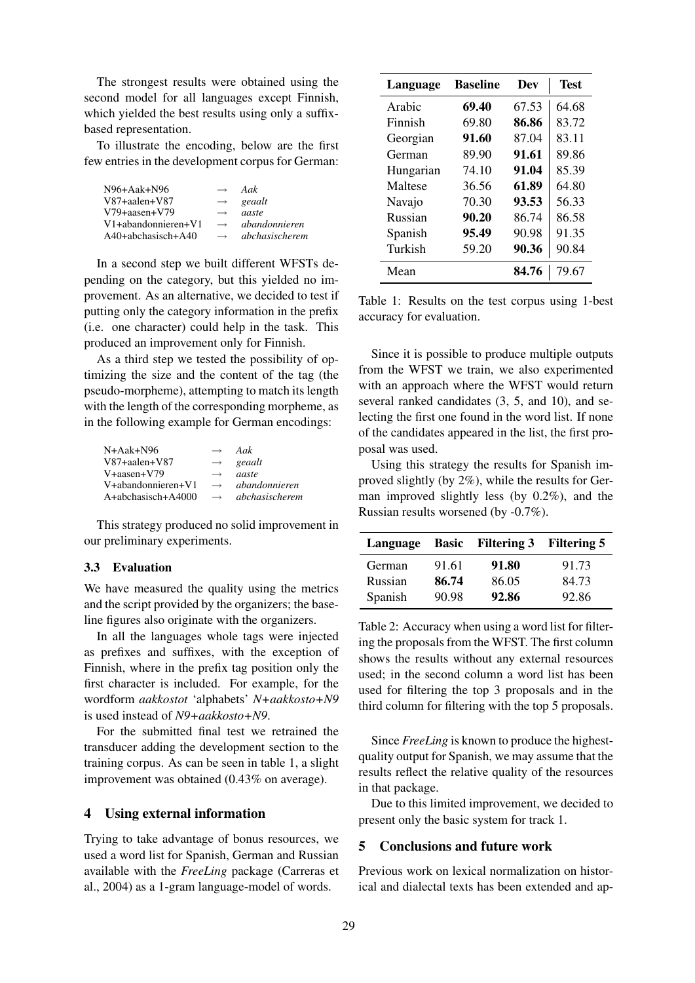The strongest results were obtained using the second model for all languages except Finnish, which yielded the best results using only a suffixbased representation.

To illustrate the encoding, below are the first few entries in the development corpus for German:

| $N96+Aak+N96$             | $\longrightarrow$ | Aak                  |
|---------------------------|-------------------|----------------------|
| $V87 + a$ alen $+ V87$    | $\longrightarrow$ | geaalt               |
| $V79 + aasen + V79$       | $\longrightarrow$ | aaste                |
| $V1+ab$ andonnieren $+V1$ | $\longrightarrow$ | <i>abandonnieren</i> |
| A40+abchasisch+A40        | $\longrightarrow$ | abchasischerem       |
|                           |                   |                      |

In a second step we built different WFSTs depending on the category, but this yielded no improvement. As an alternative, we decided to test if putting only the category information in the prefix (i.e. one character) could help in the task. This produced an improvement only for Finnish.

As a third step we tested the possibility of optimizing the size and the content of the tag (the pseudo-morpheme), attempting to match its length with the length of the corresponding morpheme, as in the following example for German encodings:

| N+Aak+N96              | $\longrightarrow$ | Aak                  |
|------------------------|-------------------|----------------------|
| $V87 + a$ alen $+ V87$ | $\longrightarrow$ | geaalt               |
| $V+aasen+V79$          | $\longrightarrow$ | aaste                |
| V+abandonnieren+V1     | $\longrightarrow$ | <i>abandonnieren</i> |
| A+abchasisch+A4000     | $\longrightarrow$ | abchasischerem       |
|                        |                   |                      |

This strategy produced no solid improvement in our preliminary experiments.

#### 3.3 Evaluation

We have measured the quality using the metrics and the script provided by the organizers; the baseline figures also originate with the organizers.

In all the languages whole tags were injected as prefixes and suffixes, with the exception of Finnish, where in the prefix tag position only the first character is included. For example, for the wordform *aakkostot* 'alphabets' *N+aakkosto+N9* is used instead of *N9+aakkosto+N9*.

For the submitted final test we retrained the transducer adding the development section to the training corpus. As can be seen in table 1, a slight improvement was obtained (0.43% on average).

#### 4 Using external information

Trying to take advantage of bonus resources, we used a word list for Spanish, German and Russian available with the *FreeLing* package (Carreras et al., 2004) as a 1-gram language-model of words.

| Language  | <b>Baseline</b> | Dev   | <b>Test</b> |
|-----------|-----------------|-------|-------------|
| Arabic    | 69.40           | 67.53 | 64.68       |
| Finnish   | 69.80           | 86.86 | 83.72       |
| Georgian  | 91.60           | 87.04 | 83.11       |
| German    | 89.90           | 91.61 | 89.86       |
| Hungarian | 74.10           | 91.04 | 85.39       |
| Maltese   | 36.56           | 61.89 | 64.80       |
| Navajo    | 70.30           | 93.53 | 56.33       |
| Russian   | 90.20           | 86.74 | 86.58       |
| Spanish   | 95.49           | 90.98 | 91.35       |
| Turkish   | 59.20           | 90.36 | 90.84       |
| Mean      |                 | 84.76 | 79.67       |

Table 1: Results on the test corpus using 1-best accuracy for evaluation.

Since it is possible to produce multiple outputs from the WFST we train, we also experimented with an approach where the WFST would return several ranked candidates (3, 5, and 10), and selecting the first one found in the word list. If none of the candidates appeared in the list, the first proposal was used.

Using this strategy the results for Spanish improved slightly (by 2%), while the results for German improved slightly less (by 0.2%), and the Russian results worsened (by -0.7%).

|         |       | Language Basic Filtering 3 Filtering 5 |       |
|---------|-------|----------------------------------------|-------|
| German  | 91.61 | 91.80                                  | 91.73 |
| Russian | 86.74 | 86.05                                  | 84.73 |
| Spanish | 90.98 | 92.86                                  | 92.86 |

Table 2: Accuracy when using a word list for filtering the proposals from the WFST. The first column shows the results without any external resources used; in the second column a word list has been used for filtering the top 3 proposals and in the third column for filtering with the top 5 proposals.

Since *FreeLing* is known to produce the highestquality output for Spanish, we may assume that the results reflect the relative quality of the resources in that package.

Due to this limited improvement, we decided to present only the basic system for track 1.

# 5 Conclusions and future work

Previous work on lexical normalization on historical and dialectal texts has been extended and ap